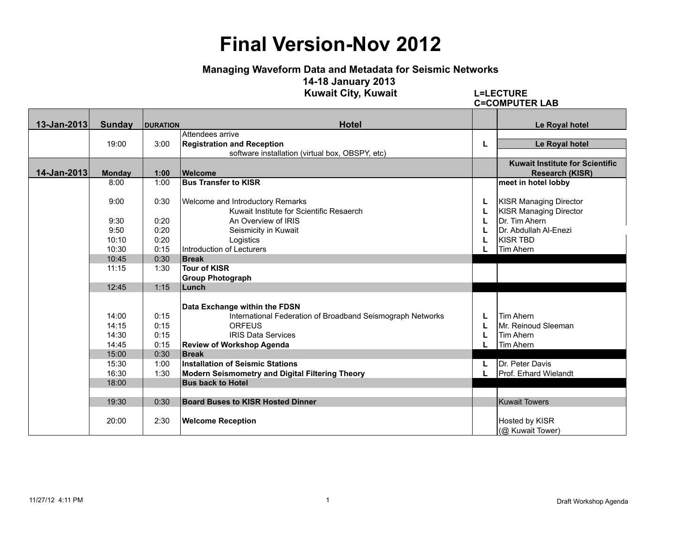#### **Managing Waveform Data and Metadata for Seismic Networks**

**14-18 January 2013** 

**Kuwait City, Kuwait L=LECTURE**

**C=COMPUTER LAB**

| 13-Jan-2013 | <b>Sunday</b> | <b>DURATION</b> | <b>Hotel</b><br>Attendees arrive                           |   | Le Royal hotel                         |
|-------------|---------------|-----------------|------------------------------------------------------------|---|----------------------------------------|
|             | 19:00         | 3:00            | <b>Registration and Reception</b>                          | L | Le Royal hotel                         |
|             |               |                 | software installation (virtual box, OBSPY, etc)            |   |                                        |
|             |               |                 |                                                            |   | <b>Kuwait Institute for Scientific</b> |
| 14-Jan-2013 | <b>Monday</b> | 1:00            | <b>Welcome</b>                                             |   | <b>Research (KISR)</b>                 |
|             | 8:00          | 1:00            | <b>Bus Transfer to KISR</b>                                |   | meet in hotel lobby                    |
|             |               |                 |                                                            |   |                                        |
|             | 9:00          | 0:30            | <b>Welcome and Introductory Remarks</b>                    | L | <b>KISR Managing Director</b>          |
|             |               |                 | Kuwait Institute for Scientific Resaerch                   | L | <b>KISR Managing Director</b>          |
|             | 9:30          | 0:20            | An Overview of IRIS                                        | L | Dr. Tim Ahern                          |
|             | 9:50          | 0:20            | Seismicity in Kuwait                                       | L | Dr. Abdullah Al-Enezi                  |
|             | 10:10         | 0:20            | Logistics                                                  | L | <b>KISR TBD</b>                        |
|             | 10:30         | 0:15            | Introduction of Lecturers                                  |   | Tim Ahern                              |
|             | 10:45         | 0:30            | <b>Break</b>                                               |   |                                        |
|             | 11:15         | 1:30            | Tour of KISR                                               |   |                                        |
|             |               |                 | <b>Group Photograph</b>                                    |   |                                        |
|             | 12:45         | 1:15            | Lunch                                                      |   |                                        |
|             |               |                 | Data Exchange within the FDSN                              |   |                                        |
|             | 14:00         | 0:15            | International Federation of Broadband Seismograph Networks | L | <b>Tim Ahern</b>                       |
|             | 14:15         | 0:15            | <b>ORFEUS</b>                                              | L | Mr. Reinoud Sleeman                    |
|             | 14:30         | 0:15            | <b>IRIS Data Services</b>                                  | L | Tim Ahern                              |
|             | 14:45         | 0:15            | <b>Review of Workshop Agenda</b>                           |   | <b>Tim Ahern</b>                       |
|             | 15:00         | 0:30            | <b>Break</b>                                               |   |                                        |
|             | 15:30         | 1:00            | <b>Installation of Seismic Stations</b>                    |   | Dr. Peter Davis                        |
|             | 16:30         | 1:30            | <b>Modern Seismometry and Digital Filtering Theory</b>     | L | <b>Prof. Erhard Wielandt</b>           |
|             | 18:00         |                 | <b>Bus back to Hotel</b>                                   |   |                                        |
|             |               |                 |                                                            |   |                                        |
|             | 19:30         | 0:30            | <b>Board Buses to KISR Hosted Dinner</b>                   |   | <b>Kuwait Towers</b>                   |
|             |               |                 |                                                            |   |                                        |
|             | 20:00         | 2:30            | <b>Welcome Reception</b>                                   |   | Hosted by KISR                         |
|             |               |                 |                                                            |   | (@ Kuwait Tower)                       |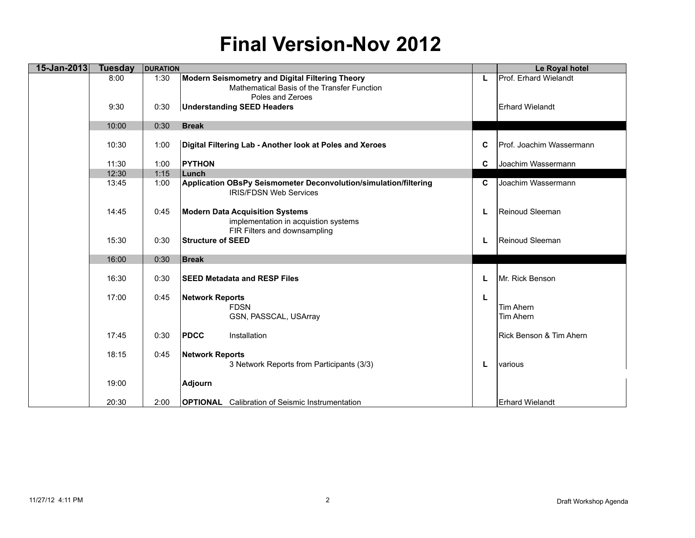| 15-Jan-2013 | <b>Tuesday</b> | <b>DURATION</b> |                                                                                                   |    | Le Royal hotel           |
|-------------|----------------|-----------------|---------------------------------------------------------------------------------------------------|----|--------------------------|
|             | 8:00           | 1:30            | <b>Modern Seismometry and Digital Filtering Theory</b>                                            | L. | Prof. Erhard Wielandt    |
|             |                |                 | Mathematical Basis of the Transfer Function                                                       |    |                          |
|             |                |                 | Poles and Zeroes                                                                                  |    |                          |
|             | 9:30           | 0:30            | <b>Understanding SEED Headers</b>                                                                 |    | Erhard Wielandt          |
|             | 10:00          | 0:30            | <b>Break</b>                                                                                      |    |                          |
|             |                |                 |                                                                                                   |    |                          |
|             | 10:30          | 1:00            | Digital Filtering Lab - Another look at Poles and Xeroes                                          | C  | Prof. Joachim Wassermann |
|             | 11:30          | 1:00            | <b>PYTHON</b>                                                                                     | C  | Joachim Wassermann       |
|             | 12:30          | 1:15            | Lunch                                                                                             |    |                          |
|             | 13:45          | 1:00            | Application OBsPy Seismometer Deconvolution/simulation/filtering<br><b>IRIS/FDSN Web Services</b> | C  | Joachim Wassermann       |
|             | 14:45          | 0:45            | <b>Modern Data Acquisition Systems</b><br>implementation in acquistion systems                    | L  | Reinoud Sleeman          |
|             |                |                 | FIR Filters and downsampling                                                                      |    |                          |
|             | 15:30          | 0:30            | <b>Structure of SEED</b>                                                                          | L  | Reinoud Sleeman          |
|             |                |                 |                                                                                                   |    |                          |
|             | 16:00          | 0:30            | <b>Break</b>                                                                                      |    |                          |
|             | 16:30          | 0:30            | <b>ISEED Metadata and RESP Files</b>                                                              | L  | Mr. Rick Benson          |
|             | 17:00          | 0:45            | <b>Network Reports</b>                                                                            | L  |                          |
|             |                |                 | <b>FDSN</b>                                                                                       |    | Tim Ahern                |
|             |                |                 | GSN, PASSCAL, USArray                                                                             |    | Tim Ahern                |
|             |                |                 |                                                                                                   |    |                          |
|             | 17:45          | 0:30            | <b>PDCC</b><br>Installation                                                                       |    | Rick Benson & Tim Ahern  |
|             | 18:15          | 0:45            | <b>Network Reports</b>                                                                            |    |                          |
|             |                |                 | 3 Network Reports from Participants (3/3)                                                         | L  | various                  |
|             |                |                 |                                                                                                   |    |                          |
|             | 19:00          |                 | <b>Adjourn</b>                                                                                    |    |                          |
|             | 20:30          | 2:00            | <b>OPTIONAL</b> Calibration of Seismic Instrumentation                                            |    | <b>Erhard Wielandt</b>   |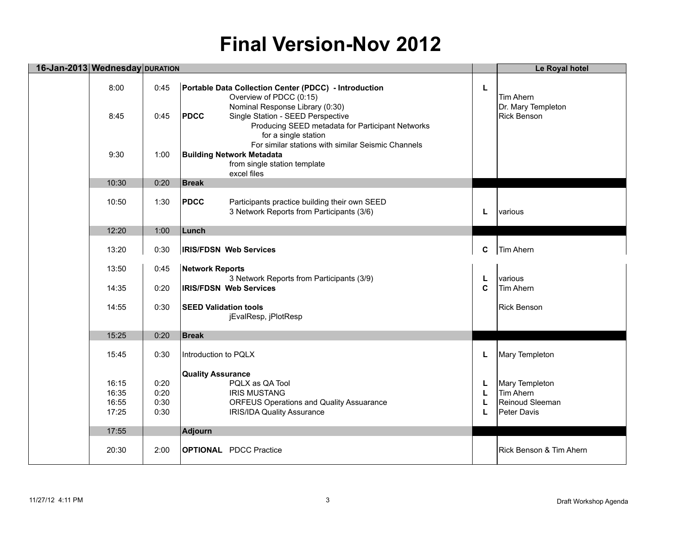| 16-Jan-2013 Wednesday DURATION   |                              |                                                                                                                                                                 |                  | Le Royal hotel                                                |
|----------------------------------|------------------------------|-----------------------------------------------------------------------------------------------------------------------------------------------------------------|------------------|---------------------------------------------------------------|
| 8:00                             | 0:45                         | Portable Data Collection Center (PDCC) - Introduction<br>Overview of PDCC (0:15)                                                                                | L                | <b>Tim Ahern</b>                                              |
| 8:45                             | 0:45                         | Nominal Response Library (0:30)<br><b>PDCC</b><br>Single Station - SEED Perspective<br>Producing SEED metadata for Participant Networks<br>for a single station |                  | Dr. Mary Templeton<br><b>Rick Benson</b>                      |
| 9:30                             | 1:00                         | For similar stations with similar Seismic Channels<br><b>Building Network Metadata</b><br>from single station template<br>excel files                           |                  |                                                               |
| 10:30                            | 0:20                         | <b>Break</b>                                                                                                                                                    |                  |                                                               |
| 10:50                            | 1:30                         | <b>PDCC</b><br>Participants practice building their own SEED<br>3 Network Reports from Participants (3/6)                                                       | L                | various                                                       |
| 12:20                            | 1:00                         | Lunch                                                                                                                                                           |                  |                                                               |
| 13:20                            | 0:30                         | <b>IRIS/FDSN Web Services</b>                                                                                                                                   | C                | Tim Ahern                                                     |
| 13:50                            | 0:45                         | <b>Network Reports</b><br>3 Network Reports from Participants (3/9)                                                                                             | L                | various                                                       |
| 14:35                            | 0:20                         | <b>IRIS/FDSN Web Services</b>                                                                                                                                   | $\mathbf c$      | Tim Ahern                                                     |
| 14:55                            | 0:30                         | <b>SEED Validation tools</b><br>jEvalResp, jPlotResp                                                                                                            |                  | <b>Rick Benson</b>                                            |
| 15:25                            | 0:20                         | <b>Break</b>                                                                                                                                                    |                  |                                                               |
| 15:45                            | 0:30                         | Introduction to PQLX                                                                                                                                            | L                | Mary Templeton                                                |
| 16:15<br>16:35<br>16:55<br>17:25 | 0:20<br>0:20<br>0:30<br>0:30 | <b>Quality Assurance</b><br>PQLX as QA Tool<br><b>IRIS MUSTANG</b><br><b>ORFEUS Operations and Quality Assuarance</b><br><b>IRIS/IDA Quality Assurance</b>      | L<br>L<br>L<br>L | Mary Templeton<br>Tim Ahern<br>Reinoud Sleeman<br>Peter Davis |
| 17:55                            |                              | Adjourn                                                                                                                                                         |                  |                                                               |
| 20:30                            | 2:00                         | <b>OPTIONAL</b> PDCC Practice                                                                                                                                   |                  | Rick Benson & Tim Ahern                                       |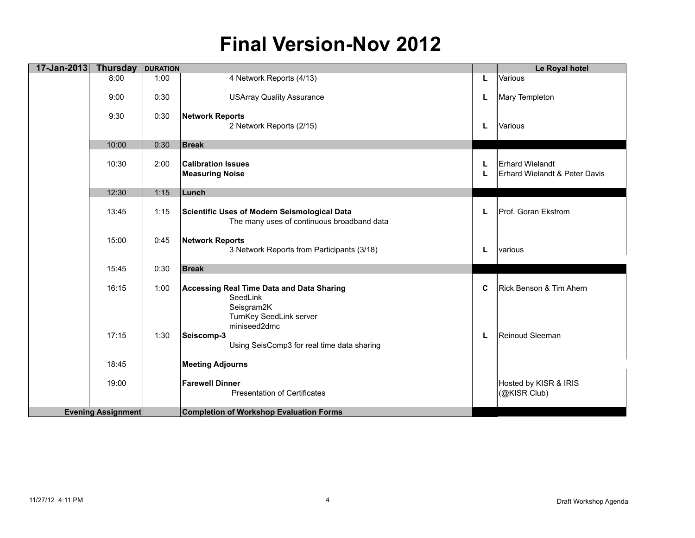| 17-Jan-2013 | <b>Thursday</b>           | <b>DURATION</b> |                                                                                                |        | Le Royal hotel                                          |
|-------------|---------------------------|-----------------|------------------------------------------------------------------------------------------------|--------|---------------------------------------------------------|
|             | 8:00                      | 1:00            | 4 Network Reports (4/13)                                                                       | L      | Various                                                 |
|             | 9:00                      | 0:30            | <b>USArray Quality Assurance</b>                                                               | L      | Mary Templeton                                          |
|             | 9:30                      | 0:30            | <b>Network Reports</b><br>2 Network Reports (2/15)                                             | L      | Various                                                 |
|             | 10:00                     | 0:30            | <b>Break</b>                                                                                   |        |                                                         |
|             | 10:30                     | 2:00            | <b>Calibration Issues</b><br><b>Measuring Noise</b>                                            | L<br>L | <b>Erhard Wielandt</b><br>Erhard Wielandt & Peter Davis |
|             | 12:30                     | 1:15            | Lunch                                                                                          |        |                                                         |
|             | 13:45                     | 1:15            | Scientific Uses of Modern Seismological Data<br>The many uses of continuous broadband data     | L      | Prof. Goran Ekstrom                                     |
|             | 15:00                     | 0:45            | <b>Network Reports</b><br>3 Network Reports from Participants (3/18)                           | L      | various                                                 |
|             | 15:45                     | 0:30            | <b>Break</b>                                                                                   |        |                                                         |
|             | 16:15                     | 1:00            | Accessing Real Time Data and Data Sharing<br>SeedLink<br>Seisgram2K<br>TurnKey SeedLink server | C      | Rick Benson & Tim Ahern                                 |
|             | 17:15                     | 1:30            | miniseed2dmc<br>Seiscomp-3<br>Using SeisComp3 for real time data sharing                       | L      | Reinoud Sleeman                                         |
|             | 18:45                     |                 | <b>Meeting Adjourns</b>                                                                        |        |                                                         |
|             | 19:00                     |                 | <b>Farewell Dinner</b><br><b>Presentation of Certificates</b>                                  |        | Hosted by KISR & IRIS<br>(@KISR Club)                   |
|             | <b>Evening Assignment</b> |                 | <b>Completion of Workshop Evaluation Forms</b>                                                 |        |                                                         |